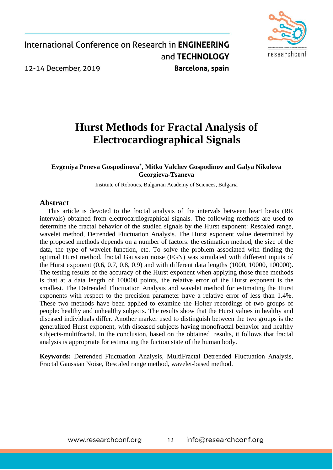

# **Hurst Methods for Fractal Analysis of Electrocardiographical Signals**

#### **Evgeniya Peneva Gospodinova\* , Mitko Valchev Gospodinov and Galya Nikolova Georgieva-Tsaneva**

Institute of Robotics, Bulgarian Academy of Sciences, Bulgaria

#### **Abstract**

This article is devoted to the fractal analysis of the intervals between heart beats (RR intervals) obtained from electrocardiographical signals. The following methods are used to determine the fractal behavior of the studied signals by the Hurst exponent: Rescaled range, wavelet method, Detrended Fluctuation Analysis. The Hurst exponent value determined by the proposed methods depends on a number of factors: the estimation method, the size of the data, the type of wavelet function, etc. To solve the problem associated with finding the optimal Hurst method, fractal Gaussian noise (FGN) was simulated with different inputs of the Hurst exponent (0.6, 0.7, 0.8, 0.9) and with different data lengths (1000, 10000, 100000). The testing results of the accuracy of the Hurst exponent when applying those three methods is that at a data length of 100000 points, the relative error of the Hurst exponent is the smallest. The Detrended Fluctuation Analysis and wavelet method for estimating the Hurst exponents with respect to the precision parameter have a relative error of less than 1.4%. These two methods have been applied to examine the Holter recordings of two groups of people: healthy and unhealthy subjects. The results show that the Hurst values in healthy and diseased individuals differ. Another marker used to distinguish between the two groups is the generalized Hurst exponent, with diseased subjects having monofractal behavior and healthy subjects-multifractal. In the conclusion, based on the obtained results, it follows that fractal analysis is appropriate for estimating the fuction state of the human body.

**Keywords:** Detrended Fluctuation Analysis, MultiFractal Detrended Fluctuation Analysis, Fractal Gaussian Noise, Rescaled range method, wavelet-based method.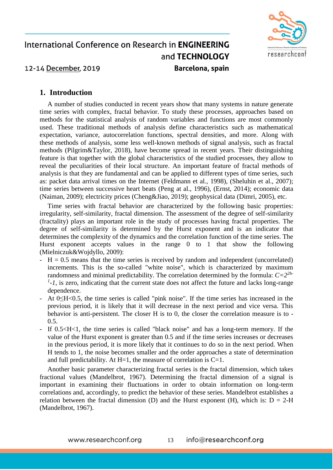

#### **1. Introduction**

A number of studies conducted in recent years show that many systems in nature generate time series with complex, fractal behavior. To study these processes, approaches based on methods for the statistical analysis of random variables and functions are most commonly used. These traditional methods of analysis define characteristics such as mathematical expectation, variance, autocorrelation functions, spectral densities, and more. Along with these methods of analysis, some less well-known methods of signal analysis, such as fractal methods (Pilgrim&Taylor, 2018), have become spread in recent years. Their distinguishing feature is that together with the global characteristics of the studied processes, they allow to reveal the peculiarities of their local structure. An important feature of fractal methods of analysis is that they are fundamental and can be applied to different types of time series, such as: packet data arrival times on the Internet (Feldmann et al., 1998), (Sheluhin et al., 2007); time series between successive heart beats (Peng at al., 1996), (Ernst, 2014); economic data (Naiman, 2009); electricity prices (Cheng&Jiao, 2019); geophysical data (Dimri, 2005), etc.

Time series with fractal behavior are characterized by the following basic properties: irregularity, self-similarity, fractal dimension. The assessment of the degree of self-similarity (fractality) plays an important role in the study of processes having fractal properties. The degree of self-similarity is determined by the Hurst exponent and is an indicator that determines the complexity of the dynamics and the correlation function of the time series. The Hurst exponent accepts values in the range 0 to 1 that show the following (Mielniczuk&Wojdyllo, 2009):

- $-H = 0.5$  means that the time series is received by random and independent (uncorrelated) increments. This is the so-called "white noise", which is characterized by maximum randomness and minimal predictability. The correlation determined by the formula:  $C = 2^{2h}$ - $<sup>1</sup>$ -1, is zero, indicating that the current state does not affect the future and lacks long-range</sup> dependence.
- At 0≤H<0.5, the time series is called "pink noise". If the time series has increased in the previous period, it is likely that it will decrease in the next period and vice versa. This behavior is anti-persistent. The closer H is to 0, the closer the correlation measure is to -  $0.5.$
- If 0.5<H<1, the time series is called "black noise" and has a long-term memory. If the value of the Hurst exponent is greater than 0.5 and if the time series increases or decreases in the previous period, it is more likely that it continues to do so in the next period. When H tends to 1, the noise becomes smaller and the order approaches a state of determination and full predictability. At  $H=1$ , the measure of correlation is  $C=1$ .

Another basic parameter characterizing fractal series is the fractal dimension, which takes fractional values (Mandelbrot, 1967). Determining the fractal dimension of a signal is important in examining their fluctuations in order to obtain information on long-term correlations and, accordingly, to predict the behavior of these series. Mandelbrot establishes a relation between the fractal dimension (D) and the Hurst exponent (H), which is:  $D = 2-H$ (Mandelbrot, 1967).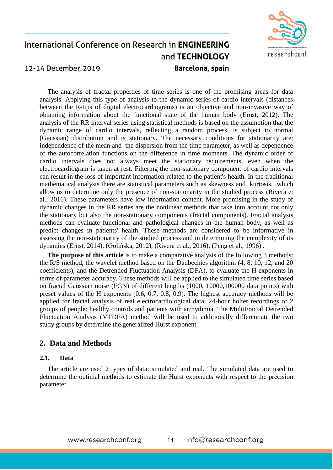

The analysis of fractal properties of time series is one of the promising areas for data analysis. Applying this type of analysis to the dynamic series of cardio intervals (distances between the R-tips of digital electrocardiograms) is an objective and non-invasive way of obtaining information about the functional state of the human body (Ernst, 2012). The analysis of the RR interval series using statistical methods is based on the assumption that the dynamic range of cardio intervals, reflecting a random process, is subject to normal (Gaussian) distribution and is stationary. The necessary conditions for stationarity are: independence of the mean and the dispersion from the time parameter, as well as dependence of the autocorrelation functions on the difference in time moments. The dynamic order of cardio intervals does not always meet the stationary requirements, even when the electrocardiogram is taken at rest. Filtering the non-stationary component of cardio intervals can result in the loss of important information related to the patient's health. In the traditional mathematical analysis there are statistical parameters such as skewness and kurtosis, which allow us to determine only the presence of non-stationarity in the studied process (Rivera et al., 2016). These parameters have low information content. More promising in the study of dynamic changes in the RR series are the nonlinear methods that take into account not only the stationary but also the non-stationary components (fractal components). Fractal analysis methods can evaluate functional and pathological changes in the human body, as well as predict changes in patients' health. These methods are considered to be informative in assessing the non-stationarity of the studied process and in determining the complexity of its dynamics (Ernst, 2014), (Golińska, 2012), (Rivera et al., 2016), (Peng et al., 1996) .

**The purpose of this article** is to make a comparative analysis of the following 3 methods: the R/S method, the wavelet method based on the Daubechies algorithm (4, 8, 10, 12, and 20 coefficients), and the Detrended Fluctuation Analysis (DFA), to evaluate the H exponents in terms of parameter accuracy. These methods will be applied to the simulated time series based on fractal Gaussian noise (FGN) of different lengths (1000, 10000,100000 data points) with preset values of the H exponents (0.6, 0.7, 0.8, 0.9). The highest accuracy methods will be applied for fractal analysis of real electrocardiological data: 24-hour holter recordings of 2 groups of people: healthy controls and patients with arrhythmia. The MultiFractal Detrended Fluctuation Analysis (MFDFA) method will be used to additionally differentiate the two study groups by determine the generalized Hurst exponent.

#### **2. Data and Methods**

#### **2.1. Data**

The article are used 2 types of data: simulated and real. The simulated data are used to determine the optimal methods to estimate the Hurst exponents with respect to the precision parameter.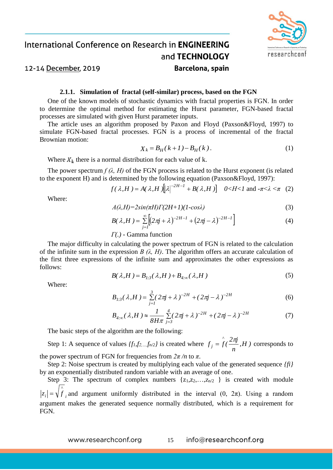

#### 12-14 December, 2019

#### **2.1.1. Simulation of fractal (self-similar) process, based on the FGN**

One of the known models of stochastic dynamics with fractal properties is FGN. In order to determine the optimal method for estimating the Hurst parameter, FGN-based fractal processes are simulated with given Hurst parameter inputs.

The article uses an algorithm proposed by Paxon and Floyd (Paxson&Floyd, 1997) to simulate FGN-based fractal processes. FGN is a process of incremental of the fractal Brownian motion:

$$
X_k = B_H(k+1) - B_H(k).
$$
 (1)

Where  $X_k$  there is a normal distribution for each value of k.

The power spectrum  $f(\lambda, H)$  of the FGN process is related to the Hurst exponent (is related to the exponent H) and is determined by the following equation (Paxson&Floyd, 1997):

$$
f(\lambda, H) = A(\lambda, H) \big[ |\lambda|^{-2H-1} + B(\lambda, H) \big] \quad 0 < H < 1 \text{ and } -\pi < \lambda < \pi \quad (2)
$$

Where:

$$
A(\lambda, H) = 2\sin(\pi H)\Gamma(2H+1)(1-\cos\lambda)
$$
\n(3)

$$
B(\lambda, H) = \sum_{j=1}^{\infty} \left[ (2\pi j + \lambda)^{-2H-1} + (2\pi j - \lambda)^{-2H-1} \right]
$$
(4)

*Г(.) -* Gamma function

The major difficulty in calculating the power spectrum of FGN is related to the calculation of the infinite sum in the expression *B (λ, H)*. The algorithm offers an accurate calculation of the first three expressions of the infinite sum and approximates the other expressions as follows:

$$
B(\lambda, H) = B_{1,3}(\lambda, H) + B_{4,\infty}(\lambda, H) \tag{5}
$$

Where:

$$
B_{I:3}(\lambda, H) = \sum_{j=1}^{3} (2\pi j + \lambda)^{-2H} + (2\pi j - \lambda)^{-2H}
$$
 (6)

$$
B_{4,\infty}(\lambda, H) \approx \frac{1}{8H\pi} \sum_{j=3}^{4} (2\pi j + \lambda)^{-2H} + (2\pi j - \lambda)^{-2H}
$$
 (7)

The basic steps of the algorithm are the following:

Step 1: A sequence of values  $\{f_1, f_2, \ldots, f_{n/2}\}$  is created where  $f_j = f(\frac{2\pi ij}{n}, H)$  $f_i = \int f(\frac{2\pi i}{\lambda})$ *^ j*  $= f(\frac{2\pi}{m}, H)$  corresponds to the power spectrum of FGN for frequencies from  $2\pi/n$  to  $\pi$ .

Step 2: Noise spectrum is created by multiplying each value of the generated sequence *{fi}* by an exponentially distributed random variable with an average of one.

Step 3: The spectrum of complex numbers  $\{z_1, z_2, \ldots, z_{n/2} \}$  is created with module *i ^*  $|z_i| = \sqrt{f}$ , and argument uniformly distributed in the interval  $(0, 2\pi)$ . Using a random

argument makes the generated sequence normally distributed, which is a requirement for FGN.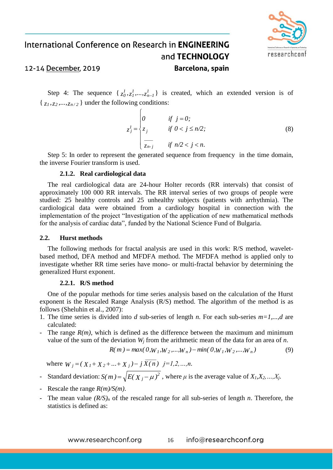

#### 12-14 December, 2019

Step 4: The sequence  $\{z_0^1, z_1^1, ..., z_{n-1}^1\}$  is created, which an extended version is of  $\{z_1, z_2, \ldots, z_{n/2}\}\$  under the following conditions:

$$
z_j^I = \begin{cases} 0 & \text{if } j = 0; \\ z_j & \text{if } 0 < j \le n/2; \\ \frac{z}{z_{n-j}} & \text{if } n/2 < j < n. \end{cases}
$$
 (8)

Step 5: In order to represent the generated sequence from frequency in the time domain, the inverse Fourier transform is used.

#### **2.1.2. Real cardiological data**

The real cardiological data are 24-hour Holter records (RR intervals) that consist of approximately 100 000 RR intervals. The RR interval series of two groups of people were studied: 25 healthy controls and 25 unhealthy subjects (patients with arrhythmia). The cardiological data were obtained from a cardiology hospital in connection with the implementation of the project "Investigation of the application of new mathematical methods for the analysis of cardiac data", funded by the National Science Fund of Bulgaria.

#### **2.2. Hurst methods**

The following methods for fractal analysis are used in this work: R/S method, waveletbased method, DFA method and MFDFA method. The MFDFA method is applied only to investigate whether RR time series have mono- or multi-fractal behavior by determining the generalized Hurst exponent.

#### **2.2.1. R/S method**

One of the popular methods for time series analysis based on the calculation of the Hurst exponent is the Rescaled Range Analysis (R/S) method. The algorithm of the method is as follows (Sheluhin et al., 2007):

- 1. The time series is divided into *d* sub-series of length *n*. For each sub-series *m=1,...,d* are calculated:
- The range  $R(m)$ , which is defined as the difference between the maximum and minimum value of the sum of the deviation  $W_i$  from the arithmetic mean of the data for an area of  $n$ .

$$
R(m) = max(0, W_1, W_2, ..., W_n) - min(0, W_1, W_2, ..., W_n)
$$
\n(9)

where  $W_j = (X_1 + X_2 + ... + X_j) - j \overline{X(n)}$  *j*=1,2,...,n.

- **2** Standard deviation:  $S(m) = \sqrt{E(X_j \mu)^2}$ , where  $\mu$  is the average value of  $X_i, X_2, ..., X_j$ .
- Rescale the range *R(m)/S(m)*.
- The mean value  $(R/S)<sub>n</sub>$  of the rescaled range for all sub-series of length *n*. Therefore, the statistics is defined as: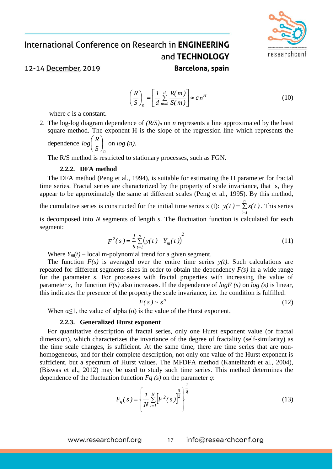

#### 12-14 December, 2019

$$
\left(\frac{R}{S}\right)_n = \left[\frac{1}{d} \sum_{m=1}^d \frac{R(m)}{S(m)}\right] \approx c_n^H \tag{10}
$$

where *c* is a constant.

2. The log-log diagram dependence of *(R/S)<sup>n</sup>* on *n* represents a line approximated by the least square method. The exponent H is the slope of the regression line which represents the

dependence *n S*  $log(\frac{R}{a})$ J  $\left(\frac{R}{a}\right)$  $\setminus$  $\left(\frac{R}{a}\right)$  on  $log(n)$ .

The R/S method is restricted to stationary processes, such as FGN.

#### **2.2.2. DFA method**

The DFA method (Peng et al., 1994), is suitable for estimating the H parameter for fractal time series. Fractal series are characterized by the property of scale invariance, that is, they appear to be approximately the same at different scales (Peng et al., 1995). By this method, the cumulative series is constructed for the initial time series x (t):  $y(t) = \sum_{n=1}^{n} x(t)$ . This series *i 1* is decomposed into *N* segments of length *s*. The fluctuation function is calculated for each segment:

$$
F^{2}(s) = \frac{1}{s} \sum_{t=1}^{s} (y(t) - Y_{m}(t))^{2}
$$
 (11)

Where  $Y_m(t)$  – local m-polynomial trend for a given segment.

The function  $F(s)$  is averaged over the entire time series  $y(t)$ . Such calculations are repeated for different segments sizes in order to obtain the dependency *F(s)* in a wide range for the parameter *s*. For processes with fractal properties with increasing the value of parameter *s*, the function  $F(s)$  also increases. If the dependence of  $log F(s)$  on  $log(s)$  is linear, this indicates the presence of the property the scale invariance, i.e. the condition is fulfilled:

$$
F(s) \sim s^{\alpha} \tag{12}
$$

When  $\alpha \leq 1$ , the value of alpha  $(\alpha)$  is the value of the Hurst exponent.

#### **2.2.3. Generalized Hurst exponent**

For quantitative description of fractal series, only one Hurst exponent value (or fractal dimension), which characterizes the invariance of the degree of fractality (self-similarity) as the time scale changes, is sufficient. At the same time, there are time series that are nonhomogeneous, and for their complete description, not only one value of the Hurst exponent is sufficient, but a spectrum of Hurst values. The MFDFA method (Kantelhardt et al., 2004), (Biswas et al., 2012) may be used to study such time series. This method determines the dependence of the fluctuation function *Fq (s)* on the parameter *q*:

$$
F_q(s) = \left\{ \frac{1}{N} \sum_{i=1}^{N} \left[ F^2(s) \right]^{\frac{q}{2}} \right\}^{\frac{1}{q}}
$$
(13)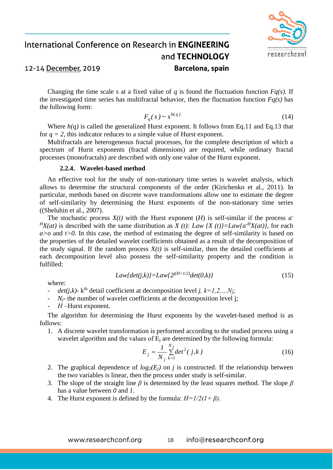

Changing the time scale s at a fixed value of *q* is found the fluctuation function *Fq(s)*. If the investigated time series has multifractal behavior, then the fluctuation function  $F_q(s)$  has the following form:

$$
F_q(s) \sim s^{h(q)} \tag{14}
$$

Where *h(q)* is called the generalized Hurst exponent. It follows from Eq.11 and Eq.13 that for  $q = 2$ , this indicator reduces to a simple value of Hurst exponent.

Multifractals are heterogeneous fractal processes, for the complete description of which a spectrum of Hurst exponents (fractal dimensions) are required, while ordinary fractal processes (monofractals) are described with only one value of the Hurst exponent.

#### **2.2.4. Wavelet-based method**

An effective tool for the study of non-stationary time series is wavelet analysis, which allows to determine the structural components of the order (Kirichenko et al., 2011). In particular, methods based on discrete wave transformations allow one to estimate the degree of self-similarity by determining the Hurst exponents of the non-stationary time series ((Sheluhin et al., 2007).

The stochastic process  $X(t)$  with the Hurst exponent  $(H)$  is self-similar if the process  $a^T$  $H_X(at)$  is described with the same distribution as *X (t): Law {X (t)}=Law{a<sup>-H</sup>X(at)}*, for each *a>o* and *t>0*. In this case, the method of estimating the degree of self-similarity is based on the properties of the detailed wavelet coefficients obtained as a result of the decomposition of the study signal. If the random process  $X(t)$  is self-similar, then the detailed coefficients at each decomposition level also possess the self-similarity property and the condition is fulfilled:

$$
Law\{det(j,k)\} = Law\{2^{j(H+1/2)}det(0,k)\}\tag{15}
$$

where:

- $\cdot$  *det(j,k)* k<sup>th</sup> detail coefficient at decomposition level *j, k*=*1,2,...N<sub>j</sub>*;
- $N_f$  the number of wavelet coefficients at the decomposition level j;
- *Н* –Hurst exponent.

The algorithm for determining the Hurst exponents by the wavelet-based method is as follows:

1. A discrete wavelet transformation is performed according to the studied process using a wavelet algorithm and the values of  $E_i$  are determined by the following formula:

$$
E_j = \frac{1}{N_j} \sum_{k=1}^{N_j} det^2(j,k)
$$
 (16)

- 2. The graphical dependence of  $log_2(E_i)$  on *j* is constructed. If the relationship between the two variables is linear, then the process under study is self-similar.
- 3. The slope of the straight line *β* is determined by the least squares method. The slope *β* has a value between *0* and *1*.
- 4. The Hurst exponent is defined by the formula: *H=1/2(1+ β)*.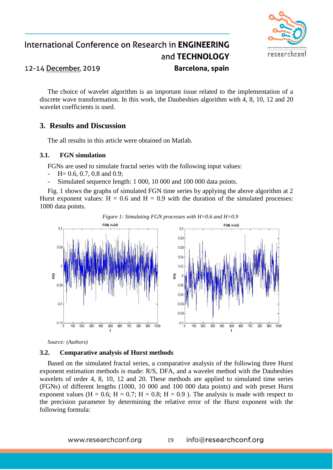

The choice of wavelet algorithm is an important issue related to the implementation of a discrete wave transformation. In this work, the Daubeshies algorithm with 4, 8, 10, 12 and 20 wavelet coefficients is used.

#### **3. Results and Discussion**

The all results in this article were obtained on Matlab.

#### **3.1. FGN simulation**

FGNs are used to simulate fractal series with the following input values:

- $-$  H = 0.6, 0.7, 0.8 and 0.9;
- Simulated sequence length: 1 000, 10 000 and 100 000 data points.

Fig. 1 shows the graphs of simulated FGN time series by applying the above algorithm at 2 Hurst exponent values:  $H = 0.6$  and  $H = 0.9$  with the duration of the simulated processes: 1000 data points.



*Source: (Authors)*

#### **3.2. Comparative analysis of Hurst methods**

Based on the simulated fractal series, a comparative analysis of the following three Hurst exponent estimation methods is made: R/S, DFA, and a wavelet method with the Daubeshies wavelets of order 4, 8, 10, 12 and 20. These methods are applied to simulated time series (FGNs) of different lengths (1000, 10 000 and 100 000 data points) and with preset Hurst exponent values (H = 0.6; H = 0.7; H = 0.8; H = 0.9). The analysis is made with respect to the precision parameter by determining the relative error of the Hurst exponent with the following formula: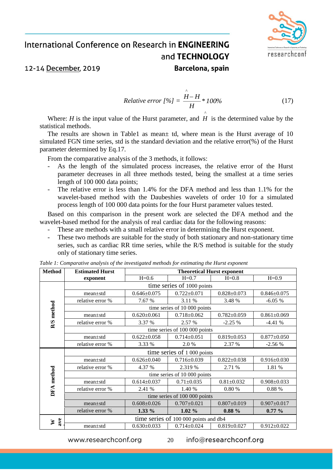

12-14 December, 2019

#### *Relative error*  $[%] = \frac{12}{11} * 100\%$ *H H H ^*<br>'! — (17)

Where:  $H$  is the input value of the Hurst parameter, and  $H$  is the determined value by the statistical methods.

The results are shown in Table1 as mean± td, where mean is the Hurst average of 10 simulated FGN time series, std is the standard deviation and the relative error(%) of the Hurst parameter determined by Eq.17.

From the comparative analysis of the 3 methods, it follows:

- As the length of the simulated process increases, the relative error of the Hurst parameter decreases in all three methods tested, being the smallest at a time series length of 100 000 data points;
- The relative error is less than 1.4% for the DFA method and less than 1.1% for the wavelet-based method with the Daubeshies wavelets of order 10 for a simulated process length of 100 000 data points for the four Hurst parameter values tested.

Based on this comparison in the present work are selected the DFA method and the wavelet-based method for the analysis of real cardiac data for the following reasons:

- These are methods with a small relative error in determining the Hurst exponent.
- These two methods are suitable for the study of both stationary and non-stationary time series, such as cardiac RR time series, while the R/S method is suitable for the study only of stationary time series.

| <b>Method</b> | <b>Estimated Hurst</b>                | <b>Theoretical Hurst exponent</b> |                   |                   |                   |  |
|---------------|---------------------------------------|-----------------------------------|-------------------|-------------------|-------------------|--|
|               | exponent                              | $H=0.6$                           | $H=0.7$           | $H=0.8$           | $H=0.9$           |  |
|               | time series of 1000 points            |                                   |                   |                   |                   |  |
| R/S method    | $mean \pm std$                        | $0.646 \pm 0.075$                 | $0.722 \pm 0.071$ | $0.828 \pm 0.073$ | $0.846 \pm 0.075$ |  |
|               | relative error %                      | 7.67 %                            | 3.11 %            | 3.48 %            | $-6.05%$          |  |
|               | time series of 10 000 points          |                                   |                   |                   |                   |  |
|               | $mean \pm std$                        | $0.620 \pm 0.061$                 | $0.718 \pm 0.062$ | $0.782 \pm 0.059$ | $0.861 \pm 0.069$ |  |
|               | relative error %                      | 3.37 %                            | 2.57 %            | $-2.25%$          | $-4.41%$          |  |
|               | time series of 100 000 points         |                                   |                   |                   |                   |  |
|               | $mean \pm std$                        | $0.622 \pm 0.058$                 | $0.714 \pm 0.051$ | $0.819 \pm 0.053$ | $0.877 \pm 0.050$ |  |
|               | relative error %                      | 3.33 %                            | 2.0 %             | 2.37 %            | $-2.56%$          |  |
|               | time series of 1 000 points           |                                   |                   |                   |                   |  |
|               | $mean \pm std$                        | $0.626 \pm 0.040$                 | $0.716 \pm 0.039$ | $0.822 \pm 0.038$ | $0.916 \pm 0.030$ |  |
|               | relative error %                      | 4.37 %                            | 2.319 %           | 2.71 %            | 1.81 %            |  |
|               | time series of 10 000 points          |                                   |                   |                   |                   |  |
| DFA method    | $mean + std$                          | $0.614 \pm 0.037$                 | $0.71 \pm 0.035$  | $0.81 \pm 0.032$  | $0.908 \pm 0.033$ |  |
|               | relative error %                      | 2.41 %                            | 1.40 %            | 0.80%             | 0.88 %            |  |
|               | time series of 100 000 points         |                                   |                   |                   |                   |  |
|               | $mean + std$                          | $0.608 \pm 0.026$                 | $0.707 \pm 0.021$ | $0.807 \pm 0.019$ | $0.907 \pm 0.017$ |  |
|               | relative error %                      | 1.33 %                            | $1.02\%$          | $0.88 \%$         | $0.77\%$          |  |
| ave<br>⋗      | time series of 100 000 points and db4 |                                   |                   |                   |                   |  |
|               | mean±std                              | $0.630 \pm 0.033$                 | $0.714 \pm 0.024$ | $0.819 \pm 0.027$ | $0.912 \pm 0.022$ |  |

*Table 1: Comparative analysis of the investigated methods for estimating the Hurst exponent*

www.researchconf.org

info@researchconf.org 20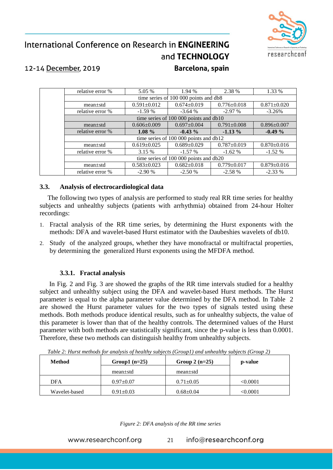

# International Conference on Research in **ENGINEERING** and TECHNOLOGY

### 12-14 December, 2019

#### Barcelona, spain

| relative error %                       | 5.05 %                                 | 1.94 %                                 | 2.38 %            | 1.33 %            |  |
|----------------------------------------|----------------------------------------|----------------------------------------|-------------------|-------------------|--|
|                                        |                                        | time series of 100 000 points and db8  |                   |                   |  |
| $mean \pm std$                         | $0.591 \pm 0.012$                      | $0.674 \pm 0.019$                      | $0.776 \pm 0.018$ | $0.871 \pm 0.020$ |  |
| relative error %                       | $-1.59%$                               | $-3.64%$                               | $-2.97\%$         | $-3.26%$          |  |
| time series of 100 000 points and db10 |                                        |                                        |                   |                   |  |
| $mean \pm std$                         | $0.606 \pm 0.009$                      | $0.697 \pm 0.004$                      | $0.791 \pm 0.008$ | $0.896 \pm 0.007$ |  |
| relative error %                       | $1.08 \%$                              | $-0.43\%$                              | $-1.13\%$         | $-0.49\%$         |  |
|                                        | time series of 100 000 points and db12 |                                        |                   |                   |  |
| $mean \pm std$                         | $0.619 \pm 0.025$                      | $0.689 \pm 0.029$                      | $0.787 \pm 0.019$ | $0.870 \pm 0.016$ |  |
| relative error %                       | 3.15 %                                 | $-1.57\%$                              | $-1.62\%$         | $-1.52\%$         |  |
|                                        |                                        | time series of 100 000 points and db20 |                   |                   |  |
| $mean \pm std$                         | $0.583 \pm 0.023$                      | $0.682 \pm 0.018$                      | $0.779 \pm 0.017$ | $0.879 \pm 0.016$ |  |
| relative error %                       | $-2.90%$                               | $-2.50%$                               | $-2.58%$          | $-2.33\%$         |  |

#### **3.3. Analysis of electrocardiological data**

The following two types of analysis are performed to study real RR time series for healthy subjects and unhealthy subjects (patients with arrhythmia) obtained from 24-hour Holter recordings:

- 1. Fractal analysis of the RR time series, by determining the Hurst exponents with the methods: DFA and wavelet-based Hurst estimator with the Daubeshies wavelets of db10.
- 2. Study of the analyzed groups, whether they have monofractal or multifractal properties, by determining the generalized Hurst exponents using the MFDFA method.

#### **3.3.1. Fractal analysis**

In Fig. 2 and Fig. 3 are showed the graphs of the RR time intervals studied for a healthy subject and unhealthy subject using the DFA and wavelet-based Hurst methods. The Hurst parameter is equal to the alpha parameter value determined by the DFA method. In Table 2 are showed the Hurst parameter values for the two types of signals tested using these methods. Both methods produce identical results, such as for unhealthy subjects, the value of this parameter is lower than that of the healthy controls. The determined values of the Hurst parameter with both methods are statistically significant, since the p-value is less than 0.0001. Therefore, these two methods can distinguish healthy from unhealthy subjects.

| <b>Method</b> | Group1 $(n=25)$ | Group 2 $(n=25)$ | p-value  |
|---------------|-----------------|------------------|----------|
|               | $mean \pm std$  | $mean \pm std$   |          |
| <b>DFA</b>    | $0.97 + 0.07$   | $0.71 \pm 0.05$  | < 0.0001 |
| Wavelet-based | $0.91 \pm 0.03$ | $0.68 \pm 0.04$  | < 0.0001 |

*Table 2: Hurst methods for analysis of healthy subjects (Group1) and unhealthy subjects (Group 2)*

*Figure 2: DFA analysis of the RR time series*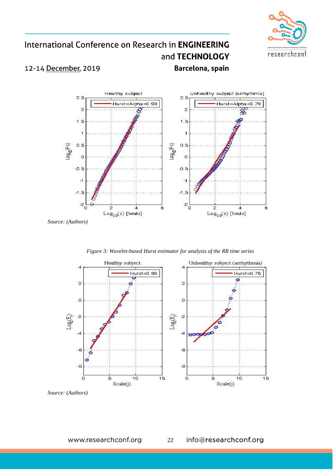

# International Conference on Research in ENGINEERING and TECHNOLOGY

### 12-14 December, 2019

Barcelona, spain



*Source: (Authors)*

*Figure 3: Wavelet-based Hurst estimator for analysis of the RR time series*



*Source: (Authors)*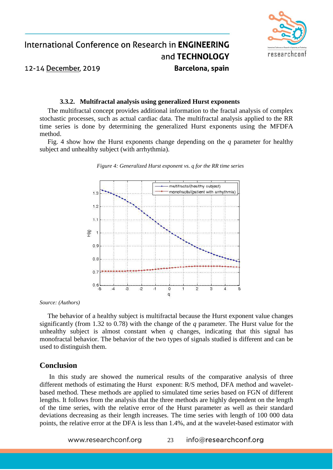

#### **3.3.2. Multifractal analysis using generalized Hurst exponents**

The multifractal concept provides additional information to the fractal analysis of complex stochastic processes, such as actual cardiac data. The multifractal analysis applied to the RR time series is done by determining the generalized Hurst exponents using the MFDFA method.

Fig. 4 show how the Hurst exponents change depending on the *q* parameter for healthy subject and unhealthy subject (with arrhythmia).



*Figure 4: Generalized Hurst exponent vs. q for the RR time series*

*Source: (Authors)*

The behavior of a healthy subject is multifractal because the Hurst exponent value changes significantly (from 1.32 to 0.78) with the change of the *q* parameter. The Hurst value for the unhealthy subject is almost constant when  $q$  changes, indicating that this signal has monofractal behavior. The behavior of the two types of signals studied is different and can be used to distinguish them.

#### **Conclusion**

In this study are showed the numerical results of the comparative analysis of three different methods of estimating the Hurst exponent: R/S method, DFA method and waveletbased method. These methods are applied to simulated time series based on FGN of different lengths. It follows from the analysis that the three methods are highly dependent on the length of the time series, with the relative error of the Hurst parameter as well as their standard deviations decreasing as their length increases. The time series with length of 100 000 data points, the relative error at the DFA is less than 1.4%, and at the wavelet-based estimator with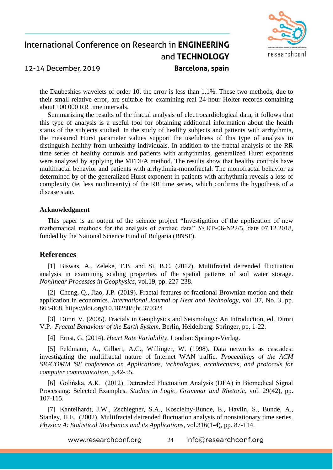

the Daubeshies wavelets of order 10, the error is less than 1.1%. These two methods, due to their small relative error, are suitable for examining real 24-hour Holter records containing about 100 000 RR time intervals.

Summarizing the results of the fractal analysis of electrocardiological data, it follows that this type of analysis is a useful tool for obtaining additional information about the health status of the subjects studied. In the study of healthy subjects and patients with arrhythmia, the measured Hurst parameter values support the usefulness of this type of analysis to distinguish healthy from unhealthy individuals. In addition to the fractal analysis of the RR time series of healthy controls and patients with arrhythmias, generalized Hurst exponents were analyzed by applying the MFDFA method. The results show that healthy controls have multifractal behavior and patients with arrhythmia-monofractal. The monofractal behavior as determined by of the generalized Hurst exponent in patients with arrhythmia reveals a loss of complexity (ie, less nonlinearity) of the RR time series, which confirms the hypothesis of a disease state.

#### **Acknowledgment**

This paper is an output of the science project "Investigation of the application of new mathematical methods for the analysis of cardiac data" № КP-06-N22/5, date 07.12.2018, funded by the National Science Fund of Bulgaria (BNSF).

#### **References**

[1] Biswas, A., Zeleke, T.B. and Si, B.C. (2012). Multifractal detrended fluctuation analysis in examining scaling properties of the spatial patterns of soil water storage. *Nonlinear Processes in Geophysics*, vol.19, pp. 227-238.

[2] Cheng, Q., Jiao, J.P. (2019). Fractal features of fractional Brownian motion and their application in economics. *International Journal of Heat and Technology*, vol. 37, No. 3, pp. 863-868.<https://doi.org/10.18280/ijht.370324>

[3] Dimri V. (2005). Fractals in Geophysics and Seismology: An Introduction, ed. Dimri V.P. *Fractal Behaviour of the Earth System*. Berlin, Heidelberg: Springer, pp. 1-22.

[4] Ernst, G. (2014). *Heart Rate Variability*. London: Springer-Verlag.

[5] Feldmann, A., Gilbert, A.C., Willinger, W. (1998). Data networks as cascades: investigating the multifractal nature of Internet WAN traffic. *Proceedings of the ACM SIGCOMM '98 conference on Applications, technologies, architectures, and protocols for computer communication*, p.42-55.

[6] Golińska, A.K. (2012). Detrended Fluctuation Analysis (DFA) in Biomedical Signal Processing: Selected Examples. *Studies in Logic, Grammar and Rhetoric*, vol. 29(42), pp. 107-115.

[7] Kantelhardt, J.W., Zschiegner, S.A., Koscielny-Bunde, E., Havlin, S., Bunde, A., Stanley, H.E. (2002). Multifractal detrended fluctuation analysis of nonstationary time series. *Physica A: Statistical Mechanics and its Applications*, vol.316(1-4), pp. 87-114.

> www.researchconf.org info@researchconf.org 24